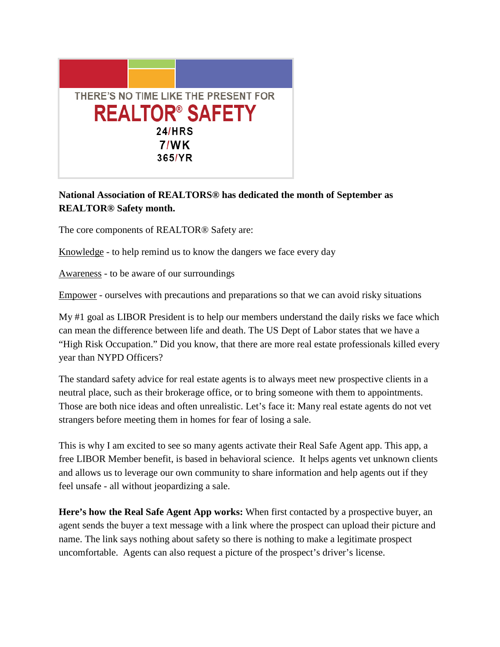

## **National Association of REALTORS® has dedicated the month of September as REALTOR® Safety month.**

The core components of REALTOR® Safety are:

Knowledge - to help remind us to know the dangers we face every day

Awareness - to be aware of our surroundings

Empower - ourselves with precautions and preparations so that we can avoid risky situations

My #1 goal as LIBOR President is to help our members understand the daily risks we face which can mean the difference between life and death. The US Dept of Labor states that we have a "High Risk Occupation." Did you know, that there are more real estate professionals killed every year than NYPD Officers?

The standard safety advice for real estate agents is to always meet new prospective clients in a neutral place, such as their brokerage office, or to bring someone with them to appointments. Those are both nice ideas and often unrealistic. Let's face it: Many real estate agents do not vet strangers before meeting them in homes for fear of losing a sale.

This is why I am excited to see so many agents activate their Real Safe Agent app. This app, a free LIBOR Member benefit, is based in behavioral science. It helps agents vet unknown clients and allows us to leverage our own community to share information and help agents out if they feel unsafe - all without jeopardizing a sale.

**Here's how the Real Safe Agent App works:** When first contacted by a prospective buyer, an agent sends the buyer a text message with a link where the prospect can upload their picture and name. The link says nothing about safety so there is nothing to make a legitimate prospect uncomfortable. Agents can also request a picture of the prospect's driver's license.